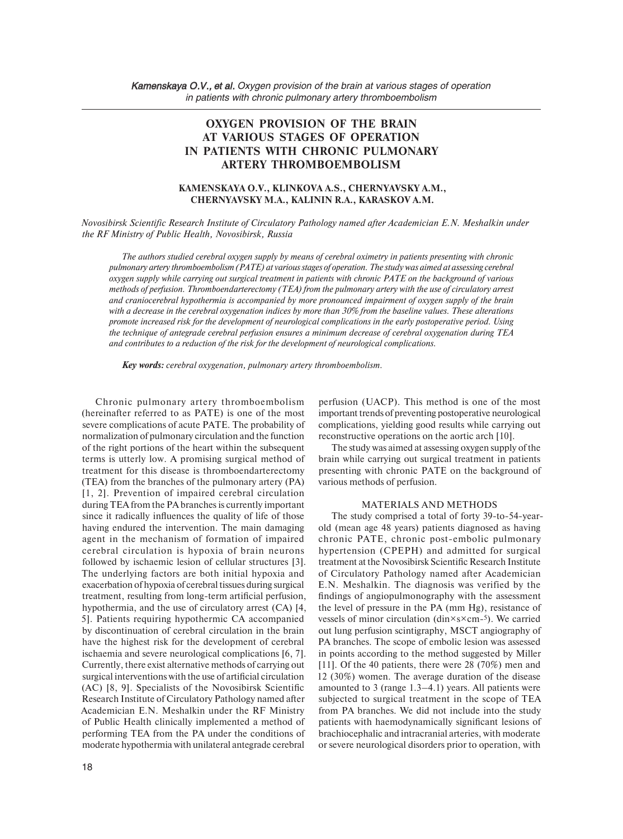# **OXYGEN PROVISION OF THE BRAIN AT VARIOUS STAGES OF OPERATION IN PATIENTS WITH CHRONIC PULMONARY ARTERY THROMBOEMBOLISM**

## **KAMENSKAYA O.V., KLINKOVA A.S., CHERNYAVSKY A.M., CHERNYAVSKY M.A., KALININ R.A., KARASKOV A.M.**

*Novosibirsk Scientific Research Institute of Circulatory Pathology named after Academician E.N. Meshalkin under the RF Ministry of Public Health, Novosibirsk, Russia* 

*The authors studied cerebral oxygen supply by means of cerebral oximetry in patients presenting with chronic pulmonary artery thromboembolism (PATE) at various stages of operation. The study was aimed at assessing cerebral oxygen supply while carrying out surgical treatment in patients with chronic PATE on the background of various methods of perfusion. Thromboendarterectomy (TEA) from the pulmonary artery with the use of circulatory arrest and craniocerebral hypothermia is accompanied by more pronounced impairment of oxygen supply of the brain with a decrease in the cerebral oxygenation indices by more than 30% from the baseline values. These alterations promote increased risk for the development of neurological complications in the early postoperative period. Using the technique of antegrade cerebral perfusion ensures a minimum decrease of cerebral oxygenation during TEA and contributes to a reduction of the risk for the development of neurological complications.* 

*Key words: cerebral oxygenation, pulmonary artery thromboembolism.* 

 (hereinafter referred to as PATE) is one of the most during TEA from the PA branches is currently important of Public Health clinically implemented a method of performing TEA from the PA under the conditions of Chronic pulmonary artery thromboembolism severe complications of acute PATE. The probability of normalization of pulmonary circulation and the function of the right portions of the heart within the subsequent terms is utterly low. A promising surgical method of treatment for this disease is thromboendarterectomy (TEA) from the branches of the pulmonary artery (PA) [1, 2]. Prevention of impaired cerebral circulation since it radically influences the quality of life of those having endured the intervention. The main damaging agent in the mechanism of formation of impaired cerebral circulation is hypoxia of brain neurons followed by ischaemic lesion of cellular structures [3]. The underlying factors are both initial hypoxia and exacerbation of hypoxia of cerebral tissues during surgical treatment, resulting from long-term artificial perfusion, hypothermia, and the use of circulatory arrest (CA) [4, 5]. Patients requiring hypothermic CA accompanied by discontinuation of cerebral circulation in the brain have the highest risk for the development of cerebral ischaemia and severe neurological complications [6, 7]. Currently, there exist alternative methods of carrying out surgical interventions with the use of artificial circulation (AC) [8, 9]. Specialists of the Novosibirsk Scientific Research Institute of Circulatory Pathology named after Academician E.N. Meshalkin under the RF Ministry moderate hypothermia with unilateral antegrade cerebral

perfusion (UACP). This method is one of the most important trends of preventing postoperative neurological complications, yielding good results while carrying out reconstructive operations on the aortic arch [10].

The study was aimed at assessing oxygen supply of the brain while carrying out surgical treatment in patients presenting with chronic PATE on the background of various methods of perfusion.

#### MATERIALS AND METHODS

E.N. Meshalkin. The diagnosis was verified by the brachiocephalic and intracranial arteries, with moderate The study comprised a total of forty 39-to-54-yearold (mean age 48 years) patients diagnosed as having chronic PATE, chronic post-embolic pulmonary hypertension (CPEPH) and admitted for surgical treatment at the Novosibirsk Scientific Research Institute of Circulatory Pathology named after Academician findings of angiopulmonography with the assessment the level of pressure in the PA (mm Hg), resistance of vessels of minor circulation (din×s×cm-5). We carried out lung perfusion scintigraphy, MSCT angiography of PA branches. The scope of embolic lesion was assessed in points according to the method suggested by Miller [11]. Of the 40 patients, there were 28 (70%) men and 12 (30%) women. The average duration of the disease amounted to 3 (range 1.3–4.1) years. All patients were subjected to surgical treatment in the scope of TEA from PA branches. We did not include into the study patients with haemodynamically significant lesions of or severe neurological disorders prior to operation, with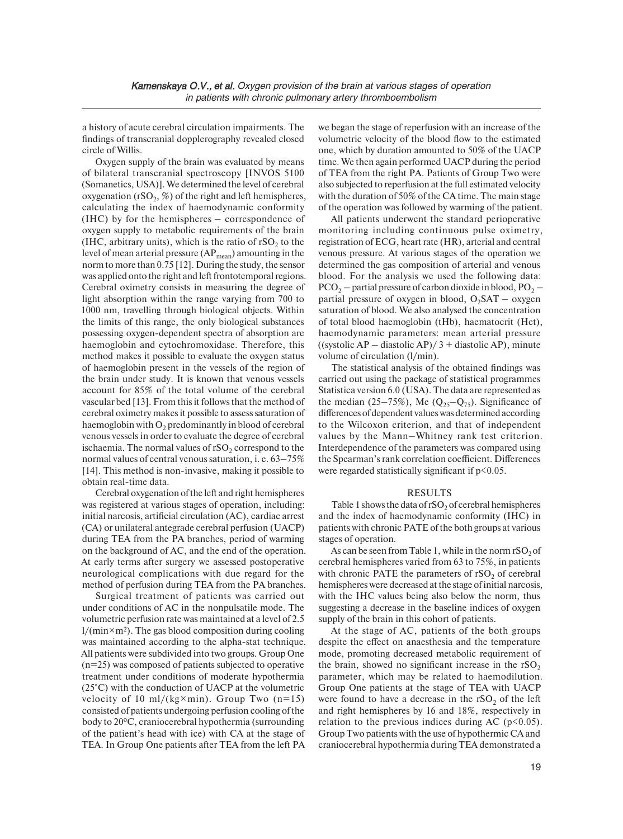a history of acute cerebral circulation impairments. The findings of transcranial dopplerography revealed closed circle of Willis.

 (Somanetics, USA)]. We determined the level of cerebral (IHC, arbitrary units), which is the ratio of  $rSO_2$  to the light absorption within the range varying from 700 to Oxygen supply of the brain was evaluated by means of bilateral transcranial spectroscopy [INVOS 5100 oxygenation (rSO<sub>2</sub>, %) of the right and left hemispheres, calculating the index of haemodynamic conformity (IHC) by for the hemispheres – correspondence of oxygen supply to metabolic requirements of the brain level of mean arterial pressure  $AP_{mean}$ ) amounting in the norm to more than 0.75 [12]. During the study, the sensor was applied onto the right and left frontotemporal regions. Cerebral oximetry consists in measuring the degree of 1000 nm, travelling through biological objects. Within the limits of this range, the only biological substances possessing oxygen-dependent spectra of absorption are haemoglobin and cytochromoxidase. Therefore, this method makes it possible to evaluate the oxygen status of haemoglobin present in the vessels of the region of the brain under study. It is known that venous vessels account for 85% of the total volume of the cerebral vascular bed [13]. From this it follows that the method of cerebral oximetry makes it possible to assess saturation of haemoglobin with  $O<sub>2</sub>$  predominantly in blood of cerebral venous vessels in order to evaluate the degree of cerebral ischaemia. The normal values of  $rSO<sub>2</sub>$  correspond to the normal values of central venous saturation, i. e. 63–75%  $[14]$ . This method is non-invasive, making it possible to obtain real-time data.

 neurological complications with due regard for the method of perfusion during TEA from the PA branches. Cerebral oxygenation of the left and right hemispheres was registered at various stages of operation, including: initial narcosis, artificial circulation (AC), cardiac arrest (CA) or unilateral antegrade cerebral perfusion (UACP) during TEA from the PA branches, period of warming on the background of AC, and the end of the operation. At early terms after surgery we assessed postoperative

Surgical treatment of patients was carried out under conditions of AC in the nonpulsatile mode. The volumetric perfusion rate was maintained at a level of 2.5  $1/(min \times m^2)$ . The gas blood composition during cooling was maintained according to the alpha-stat technique. All patients were subdivided into two groups. Group One (n=25) was composed of patients subjected to operative treatment under conditions of moderate hypothermia (25°C) with the conduction of UACP at the volumetric velocity of 10 ml/(kg $\times$ min). Group Two (n=15) consisted of patients undergoing perfusion cooling of the body to 20ºC, craniocerebral hypothermia (surrounding of the patient's head with ice) with CA at the stage of TEA. In Group One patients after TEA from the left PA

 also subjected to reperfusion at the full estimated velocity we began the stage of reperfusion with an increase of the volumetric velocity of the blood flow to the estimated one, which by duration amounted to 50% of the UACP time. We then again performed UACP during the period of TEA from the right PA. Patients of Group Two were with the duration of 50% of the CA time. The main stage of the operation was followed by warming of the patient.

registration of ECG, heart rate (HR), arterial and central  $PCO<sub>2</sub>$  – partial pressure of carbon dioxide in blood,  $PO<sub>2</sub>$  – All patients underwent the standard perioperative monitoring including continuous pulse oximetry, venous pressure. At various stages of the operation we determined the gas composition of arterial and venous blood. For the analysis we used the following data: partial pressure of oxygen in blood,  $O_2SAT - oxygen$ saturation of blood. We also analysed the concentration of total blood haemoglobin (tHb), haematocrit (Hct), haemodynamic parameters: mean arterial pressure  $((systolic AP - diastolic AP)/3 + diastolic AP)$ , minute volume of circulation (l/min).

differences of dependent values was determined according The statistical analysis of the obtained findings was carried out using the package of statistical programmes Statistica version 6.0 (USA). The data are represented as the median (25–75%), Me ( $Q_{25}$ – $Q_{75}$ ). Significance of to the Wilcoxon criterion, and that of independent values by the Mann–Whitney rank test criterion. Interdependence of the parameters was compared using the Spearman's rank correlation coefficient. Differences were regarded statistically significant if  $p<0.05$ .

### RESULTS

Table 1 shows the data of  $rSO<sub>2</sub>$  of cerebral hemispheres and the index of haemodynamic conformity (IHC) in patients with chronic PATE of the both groups at various stages of operation.

with chronic PATE the parameters of  $rSO<sub>2</sub>$  of cerebral hemispheres were decreased at the stage of initial narcosis, As can be seen from Table 1, while in the norm  $rSO_2$  of cerebral hemispheres varied from 63 to 75%, in patients with the IHC values being also below the norm, thus suggesting a decrease in the baseline indices of oxygen supply of the brain in this cohort of patients.

 despite the effect on anaesthesia and the temperature were found to have a decrease in the  $rSO_2$  of the left and right hemispheres by 16 and 18%, respectively in At the stage of AC, patients of the both groups mode, promoting decreased metabolic requirement of the brain, showed no significant increase in the  $rSO<sub>2</sub>$ parameter, which may be related to haemodilution. Group One patients at the stage of TEA with UACP relation to the previous indices during AC  $(p<0.05)$ . Group Two patients with the use of hypothermic CA and craniocerebral hypothermia during TEA demonstrated a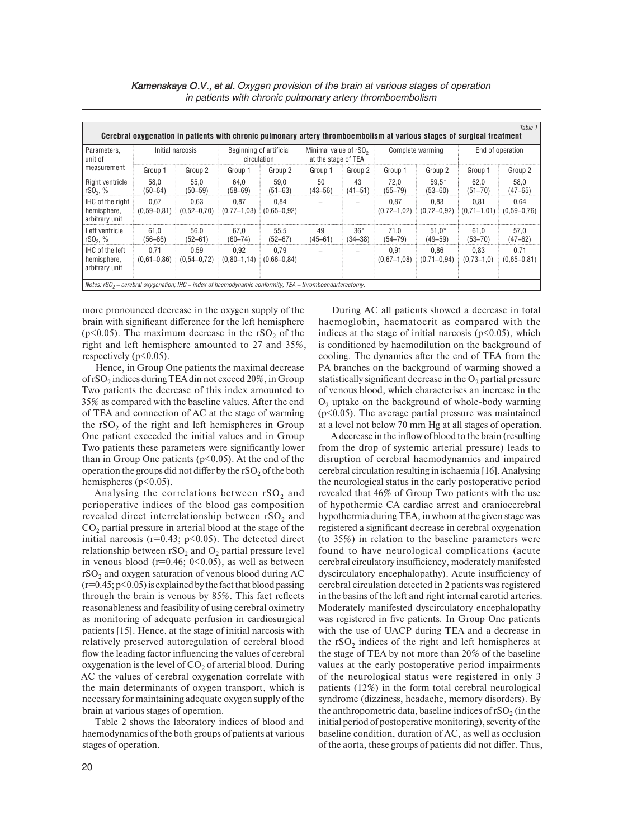| Table 1<br>Cerebral oxygenation in patients with chronic pulmonary artery thromboembolism at various stages of surgical treatment |                         |                         |                                        |                         |                                                          |                   |                           |                         |                         |                           |  |
|-----------------------------------------------------------------------------------------------------------------------------------|-------------------------|-------------------------|----------------------------------------|-------------------------|----------------------------------------------------------|-------------------|---------------------------|-------------------------|-------------------------|---------------------------|--|
| Parameters.<br>unit of<br>measurement                                                                                             | Initial narcosis        |                         | Beginning of artificial<br>circulation |                         | Minimal value of rSO <sub>2</sub><br>at the stage of TEA |                   | Complete warming          |                         | End of operation        |                           |  |
|                                                                                                                                   | Group 1                 | Group 2                 | Group 1                                | Group 2                 | Group 1                                                  | Group 2           | Group 1                   | Group 2                 | Group 1                 | Group 2                   |  |
| Right ventricle<br>$rSO_2, %$                                                                                                     | 58.0<br>$(50 - 64)$     | 55.0<br>$(50 - 59)$     | 64.0<br>$(58 - 69)$                    | 59.0<br>$(51 - 63)$     | 50<br>$(43 - 56)$                                        | 43<br>$(41 - 51)$ | 72.0<br>$(55 - 79)$       | $59.5*$<br>$(53 - 60)$  | 62.0<br>$(51 - 70)$     | 58.0<br>$(47 - 65)$       |  |
| IHC of the right<br>hemisphere,<br>arbitrary unit                                                                                 | 0.67<br>$(0.59 - 0.81)$ | 0.63<br>$(0.52 - 0.70)$ | 0.87<br>$(0.77 - 1.03)$                | 0.84<br>$(0.65 - 0.92)$ |                                                          |                   | 0.87<br>$(0, 72 - 1, 02)$ | 0.83<br>$(0.72 - 0.92)$ | 0.81<br>$(0,71 - 1,01)$ | 0.64<br>$(0, 59 - 0, 76)$ |  |
| Left ventricle<br>$rSO_2, %$                                                                                                      | 61.0<br>$(56 - 66)$     | 56.0<br>$(52 - 61)$     | 67,0<br>$(60 - 74)$                    | 55.5<br>$(52 - 67)$     | 49<br>$(45 - 61)$                                        | $36*$<br>(34–38)  | 71.0<br>(54–79)           | $51.0*$<br>$(49 - 59)$  | 61.0<br>$(53 - 70)$     | 57,0<br>$(47 - 62)$       |  |
| IHC of the left<br>hemisphere.<br>arbitrary unit                                                                                  | 0.71<br>$(0.61 - 0.86)$ | 0.59<br>$(0.54 - 0.72)$ | 0.92<br>$(0,80-1,14)$                  | 0.79<br>$(0.66 - 0.84)$ |                                                          |                   | 0.91<br>$(0,67 - 1,08)$   | 0.86<br>$(0,71-0,94)$   | 0.83<br>$(0,73-1,0)$    | 0.71<br>$(0.65 - 0.81)$   |  |
| Notes: $rSO2 - cerebral oxygenation$ ; IHC – index of haemodynamic conformity; TEA – thromboendarterectomy.                       |                         |                         |                                        |                         |                                                          |                   |                           |                         |                         |                           |  |

( $p<0.05$ ). The maximum decrease in the rSO<sub>2</sub> of the 27 and 35%, more pronounced decrease in the oxygen supply of the brain with significant difference for the left hemisphere (p<0.05). The maximum decrease in the  $rSO_2$  of the right and left hemisphere amounted to 27 and 35%, respectively (p<0.05).

operation the groups did not differ by the rSO<sub>2</sub> of the both hemispheres (p<0.05). Hence, in Group One patients the maximal decrease of  $rSO<sub>2</sub>$  indices during TEA din not exceed  $20\%$ , in Group Two patients the decrease of this index amounted to 35% as compared with the baseline values. After the end of TEA and connection of AC at the stage of warming the  $rSO<sub>2</sub>$  of the right and left hemispheres in Group One patient exceeded the initial values and in Group Two patients these parameters were significantly lower than in Group One patients ( $p$ <0.05). At the end of the

Analysing the correlations between  $\mathrm{s}\mathrm{O}_2$  and perioperative indices of the blood gas composition revealed direct interrelationship between  $rSO_2$  and  $CO_2$  partial pressure in arterial blood at the stage of the relationship between rSO<sub>2</sub> and O<sub>2</sub> partial pressure level AC the values of cerebral oxygenation correlate with initial narcosis  $(r=0.43; p<0.05)$ . The detected direct in venous blood  $(r=0.46; 0<0.05)$ , as well as between  $rSO<sub>2</sub>$  and oxygen saturation of venous blood during AC  $(r=0.45; p<0.05)$  is explained by the fact that blood passing through the brain is venous by 85%. This fact reflects reasonableness and feasibility of using cerebral oximetry as monitoring of adequate perfusion in cardiosurgical patients [15]. Hence, at the stage of initial narcosis with relatively preserved autoregulation of cerebral blood flow the leading factor influencing the values of cerebral oxygenation is the level of  $CO<sub>2</sub>$  of arterial blood. During the main determinants of oxygen transport, which is necessary for maintaining adequate oxygen supply of the brain at various stages of operation.

Table 2 shows the laboratory indices of blood and haemodynamics of the both groups of patients at various stages of operation.

During AC all patients showed a decrease in total haemoglobin, haematocrit as compared with the indices at the stage of initial narcosis  $(p<0.05)$ , which is conditioned by haemodilution on the background of cooling. The dynamics after the end of TEA from the PA branches on the background of warming showed a statistically significant decrease in the  $O<sub>2</sub>$  partial pressure of venous blood, which characterises an increase in the  $O<sub>2</sub>$  uptake on the background of whole-body warming  $(p<0.05)$ . The average partial pressure was maintained at a level not below 70 mm Hg at all stages of operation.

from the drop of systemic arterial pressure) leads to cerebral circulation resulting in ischaemia [16]. Analysing (to 35%) in relation to the baseline parameters were the anthropometric data, baseline indices of  $rSO_2$  (in the initial period of postoperative monitoring), severity of the baseline condition, duration of AC, as well as occlusion initial period of postoperative monitoring), severity of the A decrease in the inflow of blood to the brain (resulting disruption of cerebral haemodynamics and impaired the neurological status in the early postoperative period revealed that 46% of Group Two patients with the use of hypothermic CA cardiac arrest and craniocerebral hypothermia during TEA, in whom at the given stage was registered a significant decrease in cerebral oxygenation found to have neurological complications (acute cerebral circulatory insufficiency, moderately manifested dyscirculatory encephalopathy). Acute insufficiency of cerebral circulation detected in 2 patients was registered in the basins of the left and right internal carotid arteries. Moderately manifested dyscirculatory encephalopathy was registered in five patients. In Group One patients with the use of UACP during TEA and a decrease in the  $rSO<sub>2</sub>$  indices of the right and left hemispheres at the stage of TEA by not more than 20% of the baseline values at the early postoperative period impairments of the neurological status were registered in only 3 patients (12%) in the form total cerebral neurological syndrome (dizziness, headache, memory disorders). By of the aorta, these groups of patients did not differ. Thus,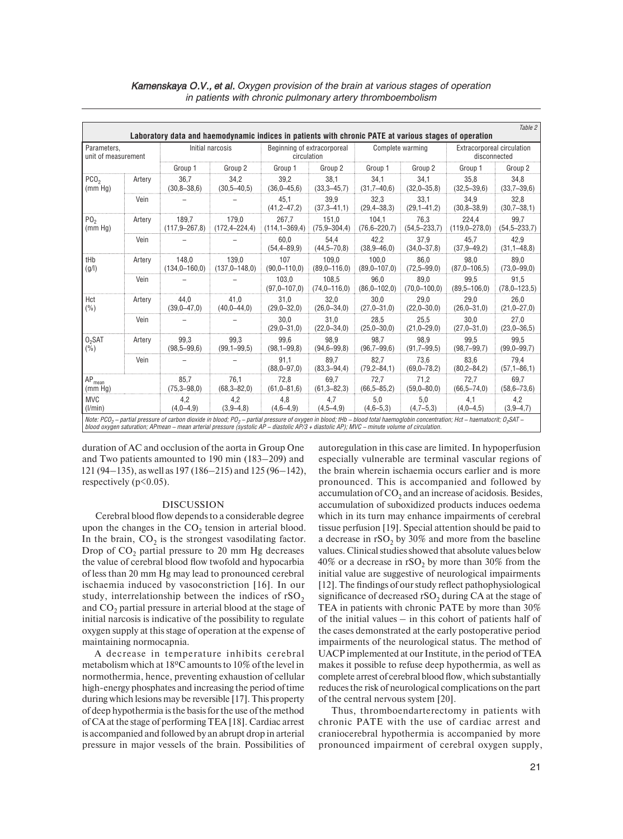| Table 2<br>Laboratory data and haemodynamic indices in patients with chronic PATE at various stages of operation                                                                                                                                                                                                                                                 |        |                              |                              |                                            |                           |                           |                          |                                            |                           |  |
|------------------------------------------------------------------------------------------------------------------------------------------------------------------------------------------------------------------------------------------------------------------------------------------------------------------------------------------------------------------|--------|------------------------------|------------------------------|--------------------------------------------|---------------------------|---------------------------|--------------------------|--------------------------------------------|---------------------------|--|
| Parameters,<br>unit of measurement                                                                                                                                                                                                                                                                                                                               |        | Initial narcosis             |                              | Beginning of extracorporeal<br>circulation |                           | Complete warming          |                          | Extracorporeal circulation<br>disconnected |                           |  |
|                                                                                                                                                                                                                                                                                                                                                                  |        | Group 1                      | Group 2                      | Group 1                                    | Group 2                   | Group 1                   | Group 2                  | Group 1                                    | Group 2                   |  |
| PCO <sub>2</sub><br>(mm Hg)                                                                                                                                                                                                                                                                                                                                      | Artery | 36.7<br>$(30,8 - 38,6)$      | 34.2<br>$(30,5 - 40,5)$      | 39.2<br>$(36,0-45,6)$                      | 38.1<br>$(33,3 - 45,7)$   | 34.1<br>$(31,7 - 40,6)$   | 34.1<br>$(32,0-35,8)$    | 35.8<br>$(32,5 - 39,6)$                    | 34,8<br>$(33,7 - 39,6)$   |  |
|                                                                                                                                                                                                                                                                                                                                                                  | Vein   |                              |                              | 45.1<br>$(41, 2 - 47, 2)$                  | 39,9<br>$(37,3 - 41,1)$   | 32,3<br>$(29, 4 - 38, 3)$ | 33,1<br>$(29,1-41,2)$    | 34,9<br>$(30.8 - 38.9)$                    | 32,8<br>$(30,7-38,1)$     |  |
| PO <sub>2</sub><br>(mm Hq)                                                                                                                                                                                                                                                                                                                                       | Artery | 189,7<br>$(117, 9 - 267, 8)$ | 179,0<br>$(172, 4 - 224, 4)$ | 267,7<br>$(114, 1 - 369, 4)$               | 151,0<br>$(75,9 - 304,4)$ | 104,1<br>$(76.6 - 220.7)$ | 76,3<br>$(54,5 - 233,7)$ | 224,4<br>$(119.0 - 278.0)$                 | 99,7<br>$(54,5 - 233,7)$  |  |
|                                                                                                                                                                                                                                                                                                                                                                  | Vein   |                              |                              | 60.0<br>$(54, 4 - 89, 9)$                  | 54.4<br>$(44,5 - 70,8)$   | 42,2<br>$(38.9 - 46.0)$   | 37,9<br>$(34,0-37,8)$    | 45,7<br>$(37.9 - 49.2)$                    | 42,9<br>$(31, 1 - 48, 8)$ |  |
| tHb<br>(g/l)                                                                                                                                                                                                                                                                                                                                                     | Artery | 148,0<br>$(134,0-160,0)$     | 139,0<br>$(137,0 - 148,0)$   | 107<br>$(90.0 - 110.0)$                    | 109,0<br>$(89,0-116,0)$   | 100,0<br>$(89,0 - 107,0)$ | 86,0<br>$(72,5 - 99,0)$  | 98.0<br>$(87.0 - 106.5)$                   | 89,0<br>$(73,0 - 99,0)$   |  |
|                                                                                                                                                                                                                                                                                                                                                                  | Vein   |                              |                              | 103,0<br>$(97.0 - 107.0)$                  | 108,5<br>$(74.0 - 116.0)$ | 96,0<br>$(86.0 - 102.0)$  | 89,0<br>$(70.0 - 100.0)$ | 99,5<br>$(89,5 - 106,0)$                   | 91,5<br>$(78,0-123,5)$    |  |
| Hct<br>(%)                                                                                                                                                                                                                                                                                                                                                       | Artery | 44.0<br>$(39,0 - 47,0)$      | 41,0<br>$(40,0-44,0)$        | 31,0<br>$(29,0-32,0)$                      | 32,0<br>$(26,0-34,0)$     | 30,0<br>$(27,0-31,0)$     | 29.0<br>$(22,0-30,0)$    | 29,0<br>$(26,0-31,0)$                      | 26,0<br>$(21,0-27,0)$     |  |
|                                                                                                                                                                                                                                                                                                                                                                  | Vein   |                              |                              | 30.0<br>$(29,0-31,0)$                      | 31.0<br>$(22,0-34,0)$     | 28.5<br>$(25.0 - 30.0)$   | 25.5<br>$(21,0-29,0)$    | 30.0<br>$(27,0-31,0)$                      | 27.0<br>$(23,0-36,5)$     |  |
| $02$ SAT<br>(%)                                                                                                                                                                                                                                                                                                                                                  | Artery | 99.3<br>$(98,5 - 99,6)$      | 99.3<br>$(99, 1 - 99, 5)$    | 99.6<br>$(98, 1 - 99, 8)$                  | 98.9<br>$(94, 6 - 99, 8)$ | 98.7<br>$(96,7 - 99,6)$   | 98.9<br>$(91,7-99,5)$    | 99.5<br>$(98,7 - 99,7)$                    | 99,5<br>$(99,0 - 99,7)$   |  |
|                                                                                                                                                                                                                                                                                                                                                                  | Vein   |                              |                              | 91,1<br>$(88,0 - 97,0)$                    | 89.7<br>$(83,3 - 94,4)$   | 82,7<br>$(79, 2 - 84, 1)$ | 73,6<br>$(69,0 - 78,2)$  | 83.6<br>$(80, 2 - 84, 2)$                  | 79,4<br>$(57, 1 - 86, 1)$ |  |
| $AP_{\text{mean}}$<br>(mm Hg)                                                                                                                                                                                                                                                                                                                                    |        | 85.7<br>$(75,3 - 98,0)$      | 76.1<br>$(68,3 - 82,0)$      | 72,8<br>$(61, 0 - 81, 6)$                  | 69.7<br>$(61,3 - 82,3)$   | 72,7<br>$(66, 5 - 85, 2)$ | 71.2<br>$(59,0 - 80,0)$  | 72,7<br>$(66, 5 - 74, 0)$                  | 69,7<br>$(58, 6 - 73, 6)$ |  |
| <b>MVC</b><br>(1/min)                                                                                                                                                                                                                                                                                                                                            |        | 4,2<br>$(4,0-4,9)$           | 4,2<br>$(3,9-4,8)$           | 4,8<br>$(4,6-4,9)$                         | 4,7<br>$(4,5-4,9)$        | 5,0<br>$(4,6-5,3)$        | 5,0<br>$(4,7-5,3)$       | 4,1<br>$(4,0-4,5)$                         | 4,2<br>$(3,9-4,7)$        |  |
| Note: PCO <sub>2</sub> – partial pressure of carbon dioxide in blood; PO <sub>2</sub> – partial pressure of oxygen in blood; tHb – blood total haemoglobin concentration; Hct – haematocrit; O <sub>2</sub> SAT –<br>blood oxygen saturation; APmean - mean arterial pressure (systolic AP - diastolic AP/3 + diastolic AP); MVC - minute volume of circulation. |        |                              |                              |                                            |                           |                           |                          |                                            |                           |  |

duration of AC and occlusion of the aorta in Group One and Two patients amounted to 190 min (183–209) and 121 (94–135), as well as 197 (186–215) and 125 (96–142), respectively  $(p<0.05)$ .

#### DISCUSSION

Cerebral blood flow depends to a considerable degree upon the changes in the  $CO<sub>2</sub>$  tension in arterial blood. In the brain,  $CO<sub>2</sub>$  is the strongest vasodilating factor. Drop of  $CO<sub>2</sub>$  partial pressure to 20 mm Hg decreases the value of cerebral blood flow twofold and hypocarbia of less than 20 mm Hg may lead to pronounced cerebral ischaemia induced by vasoconstriction [16]. In our study, interrelationship between the indices of  $rSO<sub>2</sub>$ and  $CO<sub>2</sub>$  partial pressure in arterial blood at the stage of initial narcosis is indicative of the possibility to regulate oxygen supply at this stage of operation at the expense of maintaining normocapnia.

 during which lesions may be reversible [17]. This property is accompanied and followed by an abrupt drop in arterial A decrease in temperature inhibits cerebral metabolism which at 18ºC amounts to 10% of the level in normothermia, hence, preventing exhaustion of cellular high-energy phosphates and increasing the period of time of deep hypothermia is the basis for the use of the method of CA at the stage of performing TEA [18]. Cardiac arrest pressure in major vessels of the brain. Possibilities of

autoregulation in this case are limited. In hypoperfusion especially vulnerable are terminal vascular regions of the brain wherein ischaemia occurs earlier and is more pronounced. This is accompanied and followed by accumulation of  $CO<sub>2</sub>$  and an increase of acidosis. Besides, accumulation of suboxidized products induces oedema which in its turn may enhance impairments of cerebral tissue perfusion [19]. Special attention should be paid to a decrease in  $rSO<sub>2</sub>$  by 30% and more from the baseline values. Clinical studies showed that absolute values below 40% or a decrease in  $rSO<sub>2</sub>$  by more than 30% from the initial value are suggestive of neurological impairments [12]. The findings of our study reflect pathophysiological significance of decreased  $rSO<sub>2</sub>$  during CA at the stage of TEA in patients with chronic PATE by more than 30% of the initial values – in this cohort of patients half of the cases demonstrated at the early postoperative period impairments of the neurological status. The method of UACP implemented at our Institute, in the period of TEA makes it possible to refuse deep hypothermia, as well as complete arrest of cerebral blood flow, which substantially reduces the risk of neurological complications on the part of the central nervous system [20].

 pronounced impairment of cerebral oxygen supply, Thus, thromboendarterectomy in patients with chronic PATE with the use of cardiac arrest and craniocerebral hypothermia is accompanied by more